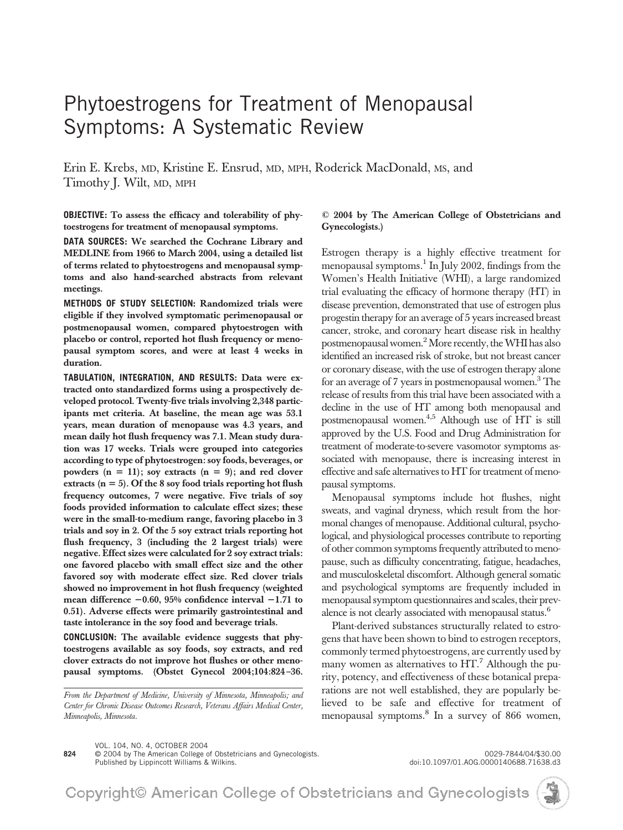# Phytoestrogens for Treatment of Menopausal Symptoms: A Systematic Review

Erin E. Krebs, MD, Kristine E. Ensrud, MD, MPH, Roderick MacDonald, MS, and Timothy J. Wilt, MD, MPH

**OBJECTIVE:** To assess the efficacy and tolerability of phytoestrogens for treatment of menopausal symptoms.

**DATA SOURCES:** We searched the Cochrane Library and MEDLINE from 1966 to March 2004, using a detailed list of terms related to phytoestrogens and menopausal symptoms and also hand-searched abstracts from relevant meetings.

**METHODS OF STUDY SELECTION:** Randomized trials were eligible if they involved symptomatic perimenopausal or postmenopausal women, compared phytoestrogen with placebo or control, reported hot flush frequency or menopausal symptom scores, and were at least 4 weeks in duration.

**TABULATION, INTEGRATION, AND RESULTS:** Data were extracted onto standardized forms using a prospectively developed protocol. Twenty-five trials involving 2,348 participants met criteria. At baseline, the mean age was 53.1 years, mean duration of menopause was 4.3 years, and mean daily hot flush frequency was 7.1. Mean study duration was 17 weeks. Trials were grouped into categories according to type of phytoestrogen: soy foods, beverages, or powders  $(n = 11)$ ; soy extracts  $(n = 9)$ ; and red clover extracts  $(n = 5)$ . Of the 8 soy food trials reporting hot flush frequency outcomes, 7 were negative. Five trials of soy foods provided information to calculate effect sizes; these were in the small-to-medium range, favoring placebo in 3 trials and soy in 2. Of the 5 soy extract trials reporting hot flush frequency, 3 (including the 2 largest trials) were negative. Effect sizes were calculated for 2 soy extract trials: one favored placebo with small effect size and the other favored soy with moderate effect size. Red clover trials showed no improvement in hot flush frequency (weighted mean difference -0.60, 95% confidence interval -1.71 to 0.51). Adverse effects were primarily gastrointestinal and taste intolerance in the soy food and beverage trials.

**CONCLUSION:** The available evidence suggests that phytoestrogens available as soy foods, soy extracts, and red clover extracts do not improve hot flushes or other menopausal symptoms. (Obstet Gynecol 2004;104:824–36.

# © 2004 by The American College of Obstetricians and Gynecologists.)

Estrogen therapy is a highly effective treatment for menopausal symptoms.<sup>1</sup> In July 2002, findings from the Women's Health Initiative (WHI), a large randomized trial evaluating the efficacy of hormone therapy (HT) in disease prevention, demonstrated that use of estrogen plus progestin therapy for an average of 5 years increased breast cancer, stroke, and coronary heart disease risk in healthy postmenopausal women.<sup>2</sup> More recently, the WHI has also identified an increased risk of stroke, but not breast cancer or coronary disease, with the use of estrogen therapy alone for an average of 7 years in postmenopausal women.<sup>3</sup> The release of results from this trial have been associated with a decline in the use of HT among both menopausal and postmenopausal women.<sup>4,5</sup> Although use of HT is still approved by the U.S. Food and Drug Administration for treatment of moderate-to-severe vasomotor symptoms associated with menopause, there is increasing interest in effective and safe alternatives to HT for treatment of menopausal symptoms.

Menopausal symptoms include hot flushes, night sweats, and vaginal dryness, which result from the hormonal changes of menopause. Additional cultural, psychological, and physiological processes contribute to reporting of other common symptoms frequently attributed to menopause, such as difficulty concentrating, fatigue, headaches, and musculoskeletal discomfort. Although general somatic and psychological symptoms are frequently included in menopausal symptom questionnaires and scales, their prevalence is not clearly associated with menopausal status.<sup>6</sup>

Plant-derived substances structurally related to estrogens that have been shown to bind to estrogen receptors, commonly termed phytoestrogens, are currently used by many women as alternatives to  $HT<sup>7</sup>$  Although the purity, potency, and effectiveness of these botanical preparations are not well established, they are popularly believed to be safe and effective for treatment of menopausal symptoms.<sup>8</sup> In a survey of 866 women,

**824** © 2004 by The American College of Obstetricians and Gynecologists. 0029-7844/04/\$30.00 Published by Lippincott Williams & Wilkins. doi:10.1097/01.AOG.0000140688.71638.d3



*From the Department of Medicine, University of Minnesota, Minneapolis; and Center for Chronic Disease Outcomes Research, Veterans Affairs Medical Center, Minneapolis, Minnesota.*

VOL. 104, NO. 4, OCTOBER 2004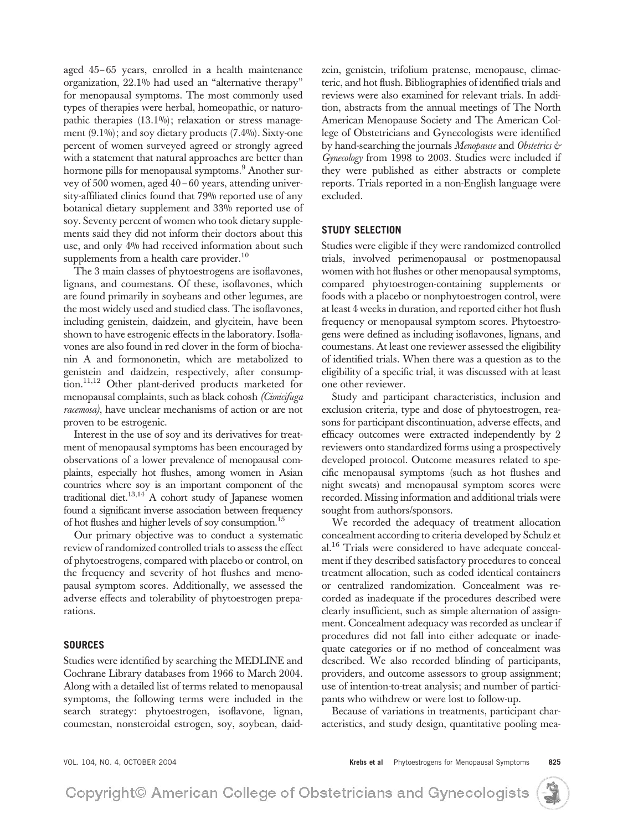aged 45–65 years, enrolled in a health maintenance organization, 22.1% had used an "alternative therapy" for menopausal symptoms. The most commonly used types of therapies were herbal, homeopathic, or naturopathic therapies (13.1%); relaxation or stress management  $(9.1\%)$ ; and soy dietary products  $(7.4\%)$ . Sixty-one percent of women surveyed agreed or strongly agreed with a statement that natural approaches are better than hormone pills for menopausal symptoms.<sup>9</sup> Another survey of 500 women, aged 40–60 years, attending university-affiliated clinics found that 79% reported use of any botanical dietary supplement and 33% reported use of soy. Seventy percent of women who took dietary supplements said they did not inform their doctors about this use, and only 4% had received information about such supplements from a health care provider.<sup>10</sup>

The 3 main classes of phytoestrogens are isoflavones, lignans, and coumestans. Of these, isoflavones, which are found primarily in soybeans and other legumes, are the most widely used and studied class. The isoflavones, including genistein, daidzein, and glycitein, have been shown to have estrogenic effects in the laboratory. Isoflavones are also found in red clover in the form of biochanin A and formononetin, which are metabolized to genistein and daidzein, respectively, after consumption.11,12 Other plant-derived products marketed for menopausal complaints, such as black cohosh *(Cimicifuga racemosa)*, have unclear mechanisms of action or are not proven to be estrogenic.

Interest in the use of soy and its derivatives for treatment of menopausal symptoms has been encouraged by observations of a lower prevalence of menopausal complaints, especially hot flushes, among women in Asian countries where soy is an important component of the traditional diet.<sup>13,14</sup> A cohort study of Japanese women found a significant inverse association between frequency of hot flushes and higher levels of soy consumption.15

Our primary objective was to conduct a systematic review of randomized controlled trials to assess the effect of phytoestrogens, compared with placebo or control, on the frequency and severity of hot flushes and menopausal symptom scores. Additionally, we assessed the adverse effects and tolerability of phytoestrogen preparations.

### **SOURCES**

Studies were identified by searching the MEDLINE and Cochrane Library databases from 1966 to March 2004. Along with a detailed list of terms related to menopausal symptoms, the following terms were included in the search strategy: phytoestrogen, isoflavone, lignan, coumestan, nonsteroidal estrogen, soy, soybean, daidzein, genistein, trifolium pratense, menopause, climacteric, and hot flush. Bibliographies of identified trials and reviews were also examined for relevant trials. In addition, abstracts from the annual meetings of The North American Menopause Society and The American College of Obstetricians and Gynecologists were identified by hand-searching the journals *Menopause* and *Obstetrics & Gynecology* from 1998 to 2003. Studies were included if they were published as either abstracts or complete reports. Trials reported in a non-English language were excluded.

### **STUDY SELECTION**

Studies were eligible if they were randomized controlled trials, involved perimenopausal or postmenopausal women with hot flushes or other menopausal symptoms, compared phytoestrogen-containing supplements or foods with a placebo or nonphytoestrogen control, were at least 4 weeks in duration, and reported either hot flush frequency or menopausal symptom scores. Phytoestrogens were defined as including isoflavones, lignans, and coumestans. At least one reviewer assessed the eligibility of identified trials. When there was a question as to the eligibility of a specific trial, it was discussed with at least one other reviewer.

Study and participant characteristics, inclusion and exclusion criteria, type and dose of phytoestrogen, reasons for participant discontinuation, adverse effects, and efficacy outcomes were extracted independently by 2 reviewers onto standardized forms using a prospectively developed protocol. Outcome measures related to specific menopausal symptoms (such as hot flushes and night sweats) and menopausal symptom scores were recorded. Missing information and additional trials were sought from authors/sponsors.

We recorded the adequacy of treatment allocation concealment according to criteria developed by Schulz et al.<sup>16</sup> Trials were considered to have adequate concealment if they described satisfactory procedures to conceal treatment allocation, such as coded identical containers or centralized randomization. Concealment was recorded as inadequate if the procedures described were clearly insufficient, such as simple alternation of assignment. Concealment adequacy was recorded as unclear if procedures did not fall into either adequate or inadequate categories or if no method of concealment was described. We also recorded blinding of participants, providers, and outcome assessors to group assignment; use of intention-to-treat analysis; and number of participants who withdrew or were lost to follow-up.

Because of variations in treatments, participant characteristics, and study design, quantitative pooling mea-

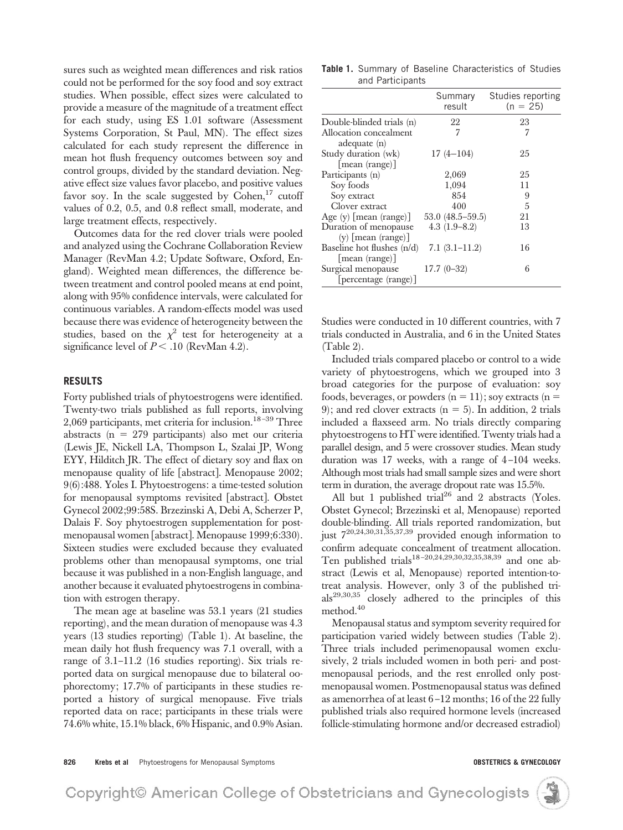sures such as weighted mean differences and risk ratios could not be performed for the soy food and soy extract studies. When possible, effect sizes were calculated to provide a measure of the magnitude of a treatment effect for each study, using ES 1.01 software (Assessment Systems Corporation, St Paul, MN). The effect sizes calculated for each study represent the difference in mean hot flush frequency outcomes between soy and control groups, divided by the standard deviation. Negative effect size values favor placebo, and positive values favor soy. In the scale suggested by  $Cohen$ ,<sup>17</sup> cutoff values of 0.2, 0.5, and 0.8 reflect small, moderate, and large treatment effects, respectively.

Outcomes data for the red clover trials were pooled and analyzed using the Cochrane Collaboration Review Manager (RevMan 4.2; Update Software, Oxford, England). Weighted mean differences, the difference between treatment and control pooled means at end point, along with 95% confidence intervals, were calculated for continuous variables. A random-effects model was used because there was evidence of heterogeneity between the studies, based on the  $\chi^2$  test for heterogeneity at a significance level of  $P < .10$  (RevMan 4.2).

# **RESULTS**

Forty published trials of phytoestrogens were identified. Twenty-two trials published as full reports, involving  $2,069$  participants, met criteria for inclusion.<sup>18-39</sup> Three abstracts (n = 279 participants) also met our criteria (Lewis JE, Nickell LA, Thompson L, Szalai JP, Wong EYY, Hilditch JR. The effect of dietary soy and flax on menopause quality of life [abstract]. Menopause 2002; 9(6):488. Yoles I. Phytoestrogens: a time-tested solution for menopausal symptoms revisited [abstract]. Obstet Gynecol 2002;99:58S. Brzezinski A, Debi A, Scherzer P, Dalais F. Soy phytoestrogen supplementation for postmenopausal women [abstract]. Menopause 1999;6:330). Sixteen studies were excluded because they evaluated problems other than menopausal symptoms, one trial because it was published in a non-English language, and another because it evaluated phytoestrogens in combination with estrogen therapy.

The mean age at baseline was 53.1 years (21 studies reporting), and the mean duration of menopause was 4.3 years (13 studies reporting) (Table 1). At baseline, the mean daily hot flush frequency was 7.1 overall, with a range of 3.1–11.2 (16 studies reporting). Six trials reported data on surgical menopause due to bilateral oophorectomy; 17.7% of participants in these studies reported a history of surgical menopause. Five trials reported data on race; participants in these trials were 74.6% white, 15.1% black, 6% Hispanic, and 0.9% Asian.

|                  |  | <b>Table 1.</b> Summary of Baseline Characteristics of Studies |  |
|------------------|--|----------------------------------------------------------------|--|
| and Participants |  |                                                                |  |

|                                                            | Summary<br>result   | Studies reporting<br>$(n = 25)$ |
|------------------------------------------------------------|---------------------|---------------------------------|
| Double-blinded trials (n)                                  | 22                  | 23                              |
| Allocation concealment<br>adequate (n)                     | 7                   | 7                               |
| Study duration (wk)<br>[mean (range)]                      | $17(4-104)$         | 25                              |
| Participants (n)                                           | 2,069               | 25                              |
| Soy foods                                                  | 1,094               | 11                              |
| Soy extract                                                | 854                 | 9                               |
| Clover extract                                             | 400                 | 5                               |
| Age $(y)$ [mean $(range)$ ]                                | $53.0(48.5 - 59.5)$ | 21                              |
| Duration of menopause<br>$(y)$   mean (range)              | $4.3(1.9-8.2)$      | 13                              |
| Baseline hot flushes (n/d)                                 | $7.1(3.1-11.2)$     | 16                              |
| mean (range)<br>Surgical menopause<br>[percentage (range)] | $17.7(0-32)$        | 6                               |

Studies were conducted in 10 different countries, with 7 trials conducted in Australia, and 6 in the United States (Table 2).

Included trials compared placebo or control to a wide variety of phytoestrogens, which we grouped into 3 broad categories for the purpose of evaluation: soy foods, beverages, or powders  $(n = 11)$ ; soy extracts  $(n = 11)$ 9); and red clover extracts  $(n = 5)$ . In addition, 2 trials included a flaxseed arm. No trials directly comparing phytoestrogens to HT were identified. Twenty trials had a parallel design, and 5 were crossover studies. Mean study duration was 17 weeks, with a range of 4–104 weeks. Although most trials had small sample sizes and were short term in duration, the average dropout rate was 15.5%.

All but 1 published trial<sup>26</sup> and 2 abstracts (Yoles. Obstet Gynecol; Brzezinski et al, Menopause) reported double-blinding. All trials reported randomization, but just 720,24,30,31,35,37,39 provided enough information to confirm adequate concealment of treatment allocation. Ten published trials<sup>18-20,24,29,30,32,35,38,39</sup> and one abstract (Lewis et al, Menopause) reported intention-totreat analysis. However, only 3 of the published tri $als<sup>29,30,35</sup>$  closely adhered to the principles of this method.<sup>40</sup>

Menopausal status and symptom severity required for participation varied widely between studies (Table 2). Three trials included perimenopausal women exclusively, 2 trials included women in both peri- and postmenopausal periods, and the rest enrolled only postmenopausal women. Postmenopausal status was defined as amenorrhea of at least 6–12 months; 16 of the 22 fully published trials also required hormone levels (increased follicle-stimulating hormone and/or decreased estradiol)

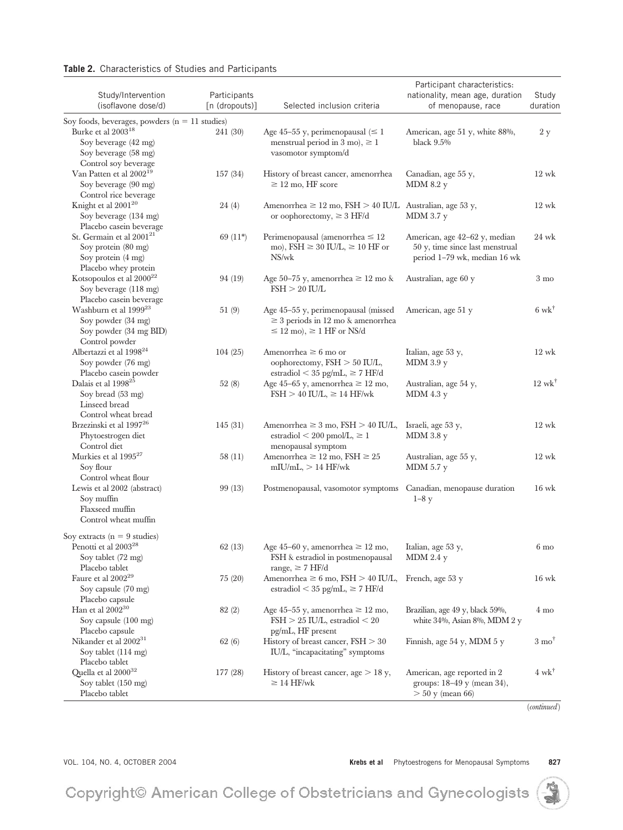| Table 2. Characteristics of Studies and Participants |  |
|------------------------------------------------------|--|
|------------------------------------------------------|--|

| Study/Intervention<br>(isoflavone dose/d)        | Participants<br>[n (dropouts)] | Selected inclusion criteria                                    | Participant characteristics:<br>nationality, mean age, duration<br>of menopause, race | Study<br>duration         |
|--------------------------------------------------|--------------------------------|----------------------------------------------------------------|---------------------------------------------------------------------------------------|---------------------------|
| Soy foods, beverages, powders $(n = 11$ studies) |                                |                                                                |                                                                                       |                           |
| Burke et al 2003 <sup>18</sup>                   | 241 (30)                       | Age 45-55 y, perimenopausal ( $\leq 1$                         | American, age 51 y, white 88%,                                                        | 2y                        |
| Soy beverage (42 mg)                             |                                | menstrual period in 3 mo), $\geq 1$                            | black $9.5\%$                                                                         |                           |
| Soy beverage (58 mg)                             |                                | vasomotor symptom/d                                            |                                                                                       |                           |
| Control soy beverage                             |                                |                                                                |                                                                                       |                           |
| Van Patten et al 2002 <sup>19</sup>              | 157 (34)                       | History of breast cancer, amenorrhea                           | Canadian, age 55 y,                                                                   | $12 \text{ wk}$           |
| Soy beverage (90 mg)                             |                                | $\geq$ 12 mo, HF score                                         | $MDM$ 8.2 y                                                                           |                           |
| Control rice beverage                            |                                |                                                                |                                                                                       |                           |
| Knight et al $2001^{20}$                         | 24(4)                          | Amenorrhea $\geq 12$ mo, FSH $> 40$ IU/L Australian, age 53 y, |                                                                                       | $12 \text{ wk}$           |
| Soy beverage (134 mg)                            |                                | or oophorectomy, $\geq 3$ HF/d                                 | $MDM$ 3.7 y                                                                           |                           |
| Placebo casein beverage                          |                                |                                                                |                                                                                       |                           |
| St. Germain et al 2001 <sup>21</sup>             | $69(11*)$                      | Perimenopausal (amenorrhea $\leq 12$                           | American, age 42–62 y, median                                                         | 24 wk                     |
| Soy protein (80 mg)                              |                                | mo), FSH $\geq$ 30 IU/L, $\geq$ 10 HF or                       | 50 y, time since last menstrual                                                       |                           |
| Soy protein (4 mg)                               |                                | NS/wk                                                          | period 1-79 wk, median 16 wk                                                          |                           |
| Placebo whey protein                             |                                |                                                                |                                                                                       |                           |
| Kotsopoulos et al 2000 <sup>22</sup>             | 94 (19)                        | Age 50–75 y, amenorrhea $\geq 12$ mo &                         | Australian, age 60 y                                                                  | $3 \text{ mo}$            |
| Soy beverage (118 mg)                            |                                | $FSH > 20$ IU/L                                                |                                                                                       |                           |
| Placebo casein beverage                          |                                |                                                                |                                                                                       |                           |
| Washburn et al 1999 <sup>23</sup>                | 51(9)                          | Age 45–55 y, perimenopausal (missed                            | American, age 51 y                                                                    | $6 \text{ wk}^{\dagger}$  |
| Soy powder (34 mg)                               |                                | $\geq$ 3 periods in 12 mo & amenorrhea                         |                                                                                       |                           |
| Soy powder (34 mg BID)                           |                                | $\leq$ 12 mo), $\geq$ 1 HF or NS/d                             |                                                                                       |                           |
| Control powder                                   |                                |                                                                |                                                                                       |                           |
| Albertazzi et al 1998 <sup>24</sup>              | 104(25)                        | Amenorrhea $\geq 6$ mo or                                      | Italian, age 53 y,                                                                    | $12 \text{ wk}$           |
| Soy powder (76 mg)                               |                                | oophorectomy, $FSH > 50$ IU/L,                                 | $MDM$ 3.9 y                                                                           |                           |
| Placebo casein powder                            |                                | estradiol < 35 pg/mL, $\geq$ 7 HF/d                            |                                                                                       |                           |
| Dalais et al 1998 <sup>25</sup>                  | 52(8)                          | Age 45-65 y, amenorrhea $\geq$ 12 mo,                          | Australian, age 54 y,                                                                 | $12 \text{ wk}^{\dagger}$ |
| Soy bread (53 mg)                                |                                | $FSH > 40$ IU/L, $\geq 14$ HF/wk                               | MDM 4.3 y                                                                             |                           |
| Linseed bread                                    |                                |                                                                |                                                                                       |                           |
| Control wheat bread                              |                                |                                                                |                                                                                       |                           |
| Brzezinski et al 1997 <sup>26</sup>              | 145(31)                        | Amenorrhea $\geq 3$ mo, FSH $> 40$ IU/L,                       | Israeli, age 53 y,                                                                    | $12 \text{ wk}$           |
| Phytoestrogen diet                               |                                | estradiol < 200 pmol/L, $\geq 1$                               | $MDM$ 3.8 $y$                                                                         |                           |
| Control diet                                     |                                | menopausal symptom                                             |                                                                                       |                           |
| Murkies et al 1995 <sup>27</sup>                 | 58(11)                         | Amenorrhea $\geq 12$ mo, FSH $\geq 25$                         | Australian, age 55 y,                                                                 | $12 \text{ wk}$           |
| Soy flour                                        |                                | $mIU/mL$ , $> 14$ HF/wk                                        | $MDM$ 5.7 y                                                                           |                           |
| Control wheat flour                              |                                |                                                                |                                                                                       |                           |
| Lewis et al 2002 (abstract)                      | 99 (13)                        | Postmenopausal, vasomotor symptoms                             | Canadian, menopause duration                                                          | $16$ wk                   |
| Soy muffin                                       |                                |                                                                | $1-8y$                                                                                |                           |
| Flaxseed muffin                                  |                                |                                                                |                                                                                       |                           |
| Control wheat muffin                             |                                |                                                                |                                                                                       |                           |
| Soy extracts ( $n = 9$ studies)                  |                                |                                                                |                                                                                       |                           |
| Penotti et al $2003^{28}$                        | 62(13)                         | Age 45–60 y, amenorrhea $\geq 12$ mo,                          | Italian, age 53 y,                                                                    | 6 <sub>mo</sub>           |
| Soy tablet (72 mg)                               |                                | FSH & estradiol in postmenopausal                              | MDM 2.4 y                                                                             |                           |
| Placebo tablet                                   |                                | range, $\geq 7$ HF/d                                           |                                                                                       |                           |
| Faure et al 2002 <sup>29</sup>                   | 75 (20)                        | Amenorrhea $\geq 6$ mo, FSH $> 40$ IU/L,                       | French, age 53 y                                                                      | $16$ wk                   |
| Soy capsule (70 mg)                              |                                | estradiol < 35 pg/mL, $\geq$ 7 HF/d                            |                                                                                       |                           |
| Placebo capsule                                  |                                |                                                                |                                                                                       |                           |
| Han et al $2002^{30}$                            | 82 (2)                         | Age 45–55 y, amenorrhea $\geq 12$ mo,                          | Brazilian, age 49 y, black 59%,                                                       | 4 mo                      |
| Soy capsule (100 mg)                             |                                | $FSH > 25$ IU/L, estradiol $< 20$                              | white $34\%$ , Asian $8\%$ , MDM 2 y                                                  |                           |
| Placebo capsule                                  |                                | pg/mL, HF present                                              |                                                                                       |                           |
| Nikander et al 2002 <sup>31</sup>                | 62(6)                          | History of breast cancer, FSH > 30                             | Finnish, age 54 y, MDM 5 y                                                            | $3 \text{ mo}^{\dagger}$  |
| Soy tablet (114 mg)                              |                                | IU/L, "incapacitating" symptoms                                |                                                                                       |                           |
| Placebo tablet                                   |                                |                                                                |                                                                                       |                           |
| Quella et al 2000 <sup>32</sup>                  | 177 (28)                       | History of breast cancer, age $>$ 18 y,                        | American, age reported in 2                                                           | $4 \text{ wk}^{\dagger}$  |
| Soy tablet (150 mg)                              |                                | $\geq 14$ HF/wk                                                | groups: 18-49 y (mean 34),                                                            |                           |
| Placebo tablet                                   |                                |                                                                | $> 50$ y (mean 66)                                                                    |                           |

(*continued* )

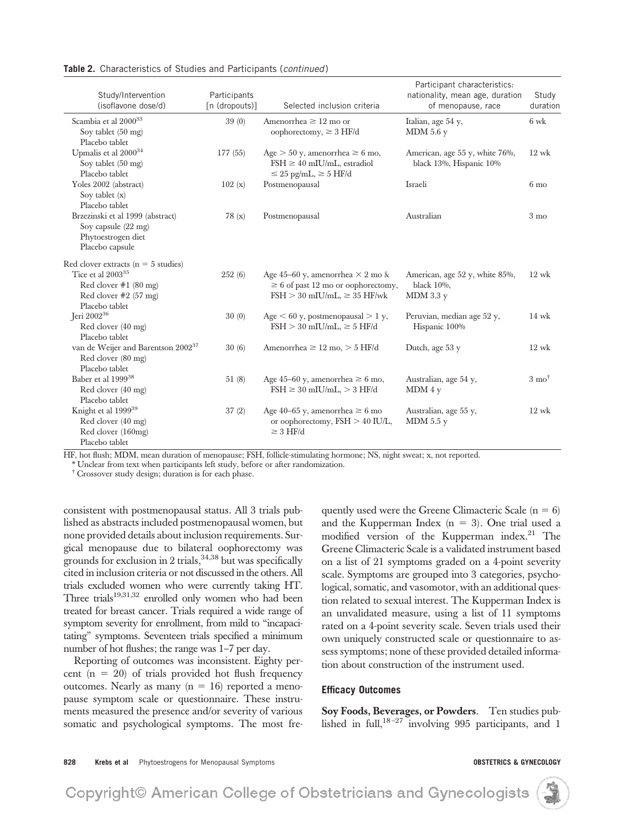|  | Table 2. Characteristics of Studies and Participants (continued) |  |  |  |  |  |
|--|------------------------------------------------------------------|--|--|--|--|--|
|--|------------------------------------------------------------------|--|--|--|--|--|

| Study/Intervention<br>(isoflavone dose/d)                                                                    | Participants<br>[n (dropouts)] | Selected inclusion criteria                                                                                              | Participant characteristics:<br>nationality, mean age, duration<br>of menopause, race | Study<br>duration        |
|--------------------------------------------------------------------------------------------------------------|--------------------------------|--------------------------------------------------------------------------------------------------------------------------|---------------------------------------------------------------------------------------|--------------------------|
| Scambia et al 2000 <sup>33</sup><br>Soy tablet $(50 \text{ mg})$<br>Placebo tablet                           | 39(0)                          | Amenorrhea $\geq 12$ mo or<br>oophorectomy, $\geq 3$ HF/d                                                                | Italian, age 54 y,<br>MDM $5.6y$                                                      | $6$ wk                   |
| Upmalis et al $2000^{34}$<br>Soy tablet (50 mg)<br>Placebo tablet                                            | 177 (55)                       | Age $> 50$ y, amenorrhea $\geq 6$ mo,<br>$FSH \geq 40$ mIU/mL, estradiol<br>$\leq$ 25 pg/mL, $\geq$ 5 HF/d               | American, age 55 y, white 76%,<br>black 13%, Hispanic 10%                             | $12 \text{ wk}$          |
| Yoles 2002 (abstract)<br>Soy tablet $(x)$<br>Placebo tablet                                                  | 102(x)                         | Postmenopausal                                                                                                           | Israeli                                                                               | $6 \text{ mo}$           |
| Brzezinski et al 1999 (abstract)<br>Soy capsule (22 mg)<br>Phytoestrogen diet<br>Placebo capsule             | 78(x)                          | Postmenopausal                                                                                                           | Australian                                                                            | $3 \text{ mo}$           |
| Red clover extracts ( $n = 5$ studies)                                                                       |                                |                                                                                                                          |                                                                                       |                          |
| Tice et al 2003 <sup>35</sup><br>Red clover $#1$ (80 mg)<br>Red clover $#2(57 \text{ mg})$<br>Placebo tablet | 252(6)                         | Age 45–60 y, amenorrhea $\times$ 2 mo &<br>$\geq 6$ of past 12 mo or oophorectomy,<br>$FSH > 30$ mIU/mL, $\geq 35$ HF/wk | American, age 52 y, white 85%,<br>black $10%$ ,<br>$MDM$ 3.3 $y$                      | $12$ wk                  |
| Jeri 2002 $36$<br>Red clover (40 mg)<br>Placebo tablet                                                       | 30(0)                          | Age $< 60$ y, postmenopausal $> 1$ y,<br>$FSH > 30$ mIU/mL, $\geq 5$ HF/d                                                | Peruvian, median age 52 y,<br>Hispanic 100%                                           | $14$ wk                  |
| van de Weijer and Barentson 2002 <sup>37</sup><br>Red clover (80 mg)<br>Placebo tablet                       | 30(6)                          | Amenorrhea $\geq 12$ mo, $> 5$ HF/d                                                                                      | Dutch, age 53 y                                                                       | $12 \text{ wk}$          |
| Baber et al 1999 <sup>38</sup><br>Red clover (40 mg)<br>Placebo tablet                                       | 51(8)                          | Age 45–60 y, amenorrhea $\geq 6$ mo,<br>$\text{FSH} \geq 30 \text{ mIU/mL}$ , $> 3 \text{ HF/d}$                         | Australian, age 54 y,<br>MDM 4 y                                                      | $3 \text{ mo}^{\dagger}$ |
| Knight et al 1999 <sup>39</sup><br>Red clover (40 mg)<br>Red clover (160mg)<br>Placebo tablet                | 37(2)                          | Age 40–65 y, amenorrhea $\geq 6$ mo<br>or oophorectomy, FSH > 40 IU/L,<br>$\geq$ 3 HF/d                                  | Australian, age 55 y,<br>MDM $5.5y$                                                   | $12 \text{ wk}$          |

HF, hot flush; MDM, mean duration of menopause; FSH, follicle-stimulating hormone; NS, night sweat; x, not reported.

\* Unclear from text when participants left study, before or after randomization.

† Crossover study design; duration is for each phase.

consistent with postmenopausal status. All 3 trials published as abstracts included postmenopausal women, but none provided details about inclusion requirements. Surgical menopause due to bilateral oophorectomy was grounds for exclusion in 2 trials,  $34,38$  but was specifically cited in inclusion criteria or not discussed in the others. All trials excluded women who were currently taking HT. Three trials<sup>19,31,32</sup> enrolled only women who had been treated for breast cancer. Trials required a wide range of symptom severity for enrollment, from mild to "incapacitating" symptoms. Seventeen trials specified a minimum number of hot flushes; the range was 1–7 per day.

Reporting of outcomes was inconsistent. Eighty percent  $(n = 20)$  of trials provided hot flush frequency outcomes. Nearly as many  $(n = 16)$  reported a menopause symptom scale or questionnaire. These instruments measured the presence and/or severity of various somatic and psychological symptoms. The most fre-

quently used were the Greene Climacteric Scale  $(n = 6)$ and the Kupperman Index  $(n = 3)$ . One trial used a modified version of the Kupperman index.<sup>21</sup> The Greene Climacteric Scale is a validated instrument based on a list of 21 symptoms graded on a 4-point severity scale. Symptoms are grouped into 3 categories, psychological, somatic, and vasomotor, with an additional question related to sexual interest. The Kupperman Index is an unvalidated measure, using a list of 11 symptoms rated on a 4-point severity scale. Seven trials used their own uniquely constructed scale or questionnaire to assess symptoms; none of these provided detailed information about construction of the instrument used.

### **Efficacy Outcomes**

Soy Foods, Beverages, or Powders. Ten studies published in full,  $18-27$  involving 995 participants, and 1

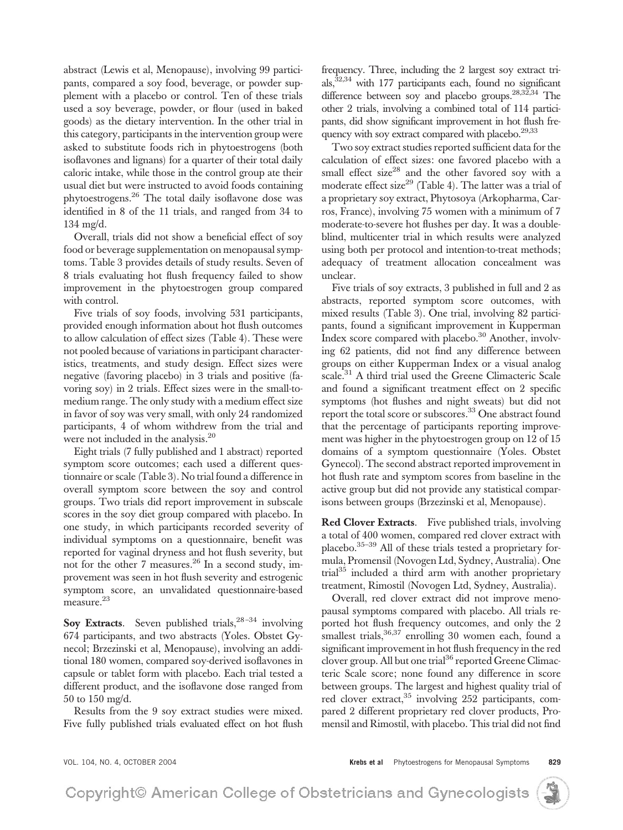abstract (Lewis et al, Menopause), involving 99 participants, compared a soy food, beverage, or powder supplement with a placebo or control. Ten of these trials used a soy beverage, powder, or flour (used in baked goods) as the dietary intervention. In the other trial in this category, participants in the intervention group were asked to substitute foods rich in phytoestrogens (both isoflavones and lignans) for a quarter of their total daily caloric intake, while those in the control group ate their usual diet but were instructed to avoid foods containing phytoestrogens.26 The total daily isoflavone dose was identified in 8 of the 11 trials, and ranged from 34 to 134 mg/d.

Overall, trials did not show a beneficial effect of soy food or beverage supplementation on menopausal symptoms. Table 3 provides details of study results. Seven of 8 trials evaluating hot flush frequency failed to show improvement in the phytoestrogen group compared with control.

Five trials of soy foods, involving 531 participants, provided enough information about hot flush outcomes to allow calculation of effect sizes (Table 4). These were not pooled because of variations in participant characteristics, treatments, and study design. Effect sizes were negative (favoring placebo) in 3 trials and positive (favoring soy) in 2 trials. Effect sizes were in the small-tomedium range. The only study with a medium effect size in favor of soy was very small, with only 24 randomized participants, 4 of whom withdrew from the trial and were not included in the analysis.<sup>20</sup>

Eight trials (7 fully published and 1 abstract) reported symptom score outcomes; each used a different questionnaire or scale (Table 3). No trial found a difference in overall symptom score between the soy and control groups. Two trials did report improvement in subscale scores in the soy diet group compared with placebo. In one study, in which participants recorded severity of individual symptoms on a questionnaire, benefit was reported for vaginal dryness and hot flush severity, but not for the other 7 measures. $^{26}$  In a second study, improvement was seen in hot flush severity and estrogenic symptom score, an unvalidated questionnaire-based measure.<sup>23</sup>

Soy Extracts. Seven published trials, $28-34$  involving 674 participants, and two abstracts (Yoles. Obstet Gynecol; Brzezinski et al, Menopause), involving an additional 180 women, compared soy-derived isoflavones in capsule or tablet form with placebo. Each trial tested a different product, and the isoflavone dose ranged from 50 to 150 mg/d.

Results from the 9 soy extract studies were mixed. Five fully published trials evaluated effect on hot flush frequency. Three, including the 2 largest soy extract tri $als$ ,  $32,34$  with 177 participants each, found no significant difference between soy and placebo groups.28,32,34 The other 2 trials, involving a combined total of 114 participants, did show significant improvement in hot flush frequency with soy extract compared with placebo.<sup>29,33</sup>

Two soy extract studies reported sufficient data for the calculation of effect sizes: one favored placebo with a small effect size<sup>28</sup> and the other favored soy with a moderate effect size<sup>29</sup> (Table 4). The latter was a trial of a proprietary soy extract, Phytosoya (Arkopharma, Carros, France), involving 75 women with a minimum of 7 moderate-to-severe hot flushes per day. It was a doubleblind, multicenter trial in which results were analyzed using both per protocol and intention-to-treat methods; adequacy of treatment allocation concealment was unclear.

Five trials of soy extracts, 3 published in full and 2 as abstracts, reported symptom score outcomes, with mixed results (Table 3). One trial, involving 82 participants, found a significant improvement in Kupperman Index score compared with placebo.<sup>30</sup> Another, involving 62 patients, did not find any difference between groups on either Kupperman Index or a visual analog scale.<sup>31</sup> A third trial used the Greene Climacteric Scale and found a significant treatment effect on 2 specific symptoms (hot flushes and night sweats) but did not report the total score or subscores.<sup>33</sup> One abstract found that the percentage of participants reporting improvement was higher in the phytoestrogen group on 12 of 15 domains of a symptom questionnaire (Yoles. Obstet Gynecol). The second abstract reported improvement in hot flush rate and symptom scores from baseline in the active group but did not provide any statistical comparisons between groups (Brzezinski et al, Menopause).

Red Clover Extracts. Five published trials, involving a total of 400 women, compared red clover extract with placebo.<sup>35-39</sup> All of these trials tested a proprietary formula, Promensil (Novogen Ltd, Sydney, Australia). One trial<sup>35</sup> included a third arm with another proprietary treatment, Rimostil (Novogen Ltd, Sydney, Australia).

Overall, red clover extract did not improve menopausal symptoms compared with placebo. All trials reported hot flush frequency outcomes, and only the 2 smallest trials, $36,37$  enrolling 30 women each, found a significant improvement in hot flush frequency in the red clover group. All but one trial<sup>36</sup> reported Greene Climacteric Scale score; none found any difference in score between groups. The largest and highest quality trial of red clover extract, $35$  involving 252 participants, compared 2 different proprietary red clover products, Promensil and Rimostil, with placebo. This trial did not find

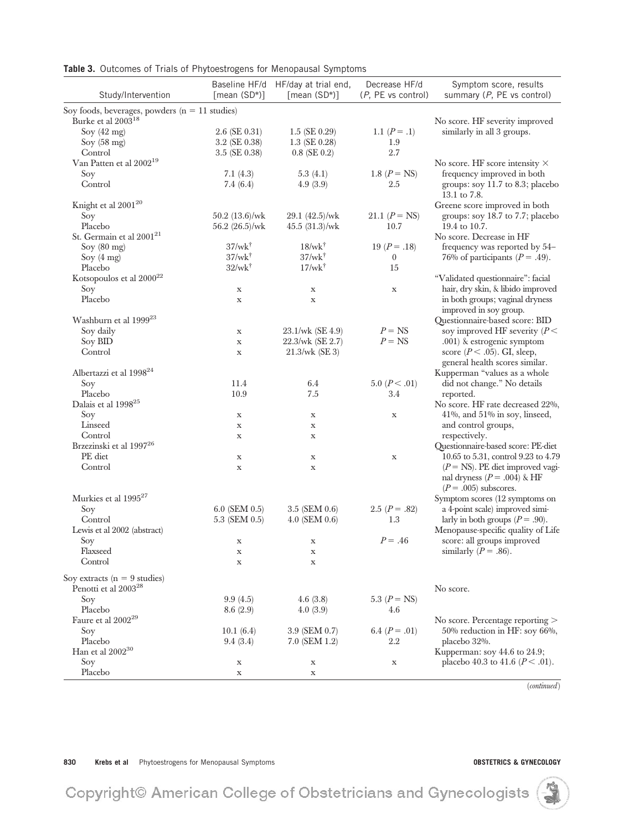| Study/Intervention                                                  | Baseline HF/d<br>$[mean (SD*)]$ | HF/day at trial end,<br>$[mean (SD*)]$ | Decrease HF/d<br>(P, PE vs control) | Symptom score, results<br>summary (P, PE vs control)                                              |
|---------------------------------------------------------------------|---------------------------------|----------------------------------------|-------------------------------------|---------------------------------------------------------------------------------------------------|
| Soy foods, beverages, powders $(n = 11$ studies)                    |                                 |                                        |                                     |                                                                                                   |
| Burke et al 2003 <sup>18</sup>                                      |                                 |                                        |                                     | No score. HF severity improved                                                                    |
| Soy $(42 \text{ mg})$                                               | $2.6$ (SE 0.31)                 | $1.5$ (SE 0.29)                        | 1.1 $(P=.1)$                        | similarly in all 3 groups.                                                                        |
| Soy $(58 \text{ mg})$                                               | 3.2 (SE 0.38)                   | 1.3 (SE 0.28)                          | 1.9                                 |                                                                                                   |
| Control                                                             | $3.5$ (SE 0.38)                 | $0.8$ (SE 0.2)                         | 2.7                                 |                                                                                                   |
| Van Patten et al 2002 <sup>19</sup>                                 |                                 |                                        |                                     | No score. HF score intensity $\times$                                                             |
| Soy                                                                 | 7.1(4.3)                        | 5.3(4.1)                               | 1.8 $(P = NS)$                      | frequency improved in both                                                                        |
| Control                                                             | 7.4 $(6.4)$                     | 4.9(3.9)                               | 2.5                                 | groups: soy 11.7 to 8.3; placebo<br>13.1 to 7.8.                                                  |
| Knight et al 2001 <sup>20</sup>                                     |                                 |                                        |                                     | Greene score improved in both                                                                     |
| Soy                                                                 | 50.2(13.6)/wk                   | 29.1 (42.5)/wk                         | 21.1 $(P = NS)$                     | groups: soy 18.7 to 7.7; placebo                                                                  |
| Placebo                                                             | 56.2 (26.5)/wk                  | $45.5 \ (31.3)$ /wk                    | 10.7                                | 19.4 to 10.7.                                                                                     |
| St. Germain et al 2001 <sup>21</sup>                                |                                 |                                        |                                     | No score. Decrease in HF                                                                          |
| Soy $(80 \text{ mg})$                                               | $37$ /wk $^{\dagger}$           | $18$ /wk $^{\dagger}$                  | 19 ( $P = .18$ )                    | frequency was reported by 54-                                                                     |
| Soy $(4 \text{ mg})$                                                | $37\text{/wk}^+$                | $37$ /wk $^{\dagger}$                  | $\boldsymbol{0}$                    | 76% of participants ( $P = .49$ ).                                                                |
| Placebo                                                             | $32/wk^{\dagger}$               | $17$ /wk $^{\dagger}$                  | 15                                  |                                                                                                   |
| Kotsopoulos et al 2000 <sup>22</sup>                                |                                 |                                        |                                     | "Validated questionnaire": facial                                                                 |
|                                                                     |                                 |                                        |                                     |                                                                                                   |
| Soy                                                                 | X                               | $\mathbf X$                            | $\mathbf X$                         | hair, dry skin, & libido improved                                                                 |
| Placebo                                                             | $\mathbf X$                     | $\mathbf X$                            |                                     | in both groups; vaginal dryness<br>improved in soy group.                                         |
| Washburn et al 1999 <sup>23</sup>                                   |                                 |                                        |                                     | Questionnaire-based score: BID                                                                    |
| Soy daily                                                           | $\mathbf X$                     | $23.1/wk$ (SE 4.9)                     | $P = NS$                            | soy improved HF severity $(P<$                                                                    |
| Soy BID                                                             | $\mathbf X$                     | $22.3/wk$ (SE 2.7)                     | $P = NS$                            | $.001)$ & estrogenic symptom                                                                      |
| Control                                                             | X                               | $21.3$ /wk (SE 3)                      |                                     | score ( $P < .05$ ). GI, sleep,                                                                   |
| Albertazzi et al 1998 <sup>24</sup>                                 |                                 |                                        |                                     | general health scores similar.<br>Kupperman "values as a whole                                    |
| Soy                                                                 | 11.4                            | 6.4                                    | 5.0 $(P < .01)$                     | did not change." No details                                                                       |
| Placebo                                                             | 10.9                            | 7.5                                    | 3.4                                 | reported.                                                                                         |
| Dalais et al 1998 <sup>25</sup>                                     |                                 |                                        |                                     | No score. HF rate decreased 22%,                                                                  |
|                                                                     |                                 |                                        |                                     |                                                                                                   |
| Soy<br>Linseed                                                      | X                               | $\mathbf X$                            | $\mathbf X$                         | $41\%$ , and $51\%$ in soy, linseed,                                                              |
|                                                                     | X                               | $\mathbf X$                            |                                     | and control groups,                                                                               |
| Control                                                             | X                               | $\mathbf X$                            |                                     | respectively.                                                                                     |
| Brzezinski et al 1997 <sup>26</sup>                                 |                                 |                                        |                                     | Questionnaire-based score: PE-diet                                                                |
| PE diet                                                             | X                               | $\mathbf X$                            | $\mathbf X$                         | 10.65 to 5.31, control 9.23 to 4.79                                                               |
| Control                                                             | X                               | $\mathbf X$                            |                                     | $(P = NS)$ . PE diet improved vagi-<br>nal dryness ( $P = .004$ ) & HF<br>$(P = .005)$ subscores. |
| Murkies et al 1995 <sup>27</sup>                                    |                                 |                                        |                                     | Symptom scores (12 symptoms on                                                                    |
|                                                                     | 6.0 (SEM 0.5)                   | 3.5 (SEM $0.6$ )                       | 2.5 $(P=.82)$                       | a 4-point scale) improved simi-                                                                   |
| Soy                                                                 |                                 |                                        |                                     |                                                                                                   |
| Control                                                             | 5.3 (SEM 0.5)                   | $4.0$ (SEM 0.6)                        | 1.3                                 | larly in both groups $(P = .90)$ .                                                                |
| Lewis et al 2002 (abstract)                                         |                                 |                                        |                                     | Menopause-specific quality of Life                                                                |
| Soy                                                                 | x                               | X                                      | $P = .46$                           | score: all groups improved                                                                        |
| Flaxseed                                                            | X                               | $\mathbf X$                            |                                     | similarly $(P = .86)$ .                                                                           |
| Control                                                             | X                               | $\mathbf X$                            |                                     |                                                                                                   |
| Soy extracts ( $n = 9$ studies)<br>Penotti et al 2003 <sup>28</sup> |                                 |                                        |                                     | No score.                                                                                         |
|                                                                     | 9.9(4.5)                        | 4.6(3.8)                               | 5.3 $(P = NS)$                      |                                                                                                   |
| Soy                                                                 |                                 |                                        |                                     |                                                                                                   |
| Placebo                                                             | 8.6(2.9)                        | 4.0(3.9)                               | 4.6                                 |                                                                                                   |
| Faure et al 2002 <sup>29</sup>                                      |                                 |                                        |                                     | No score. Percentage reporting >                                                                  |
| Soy                                                                 | 10.1(6.4)                       | 3.9 (SEM 0.7)                          | 6.4 $(P = .01)$                     | 50% reduction in HF: soy 66%,                                                                     |
| Placebo                                                             | 9.4(3.4)                        | 7.0 (SEM 1.2)                          | 2.2                                 | placebo 32%.                                                                                      |
| Han et al 2002 <sup>30</sup>                                        |                                 |                                        |                                     | Kupperman: soy 44.6 to 24.9;                                                                      |
| Soy                                                                 | X                               | $\mathbf X$                            | x                                   | placebo 40.3 to 41.6 ( $P < .01$ ).                                                               |
| Placebo                                                             | X                               | $\mathbf X$                            |                                     |                                                                                                   |

(*continued* )

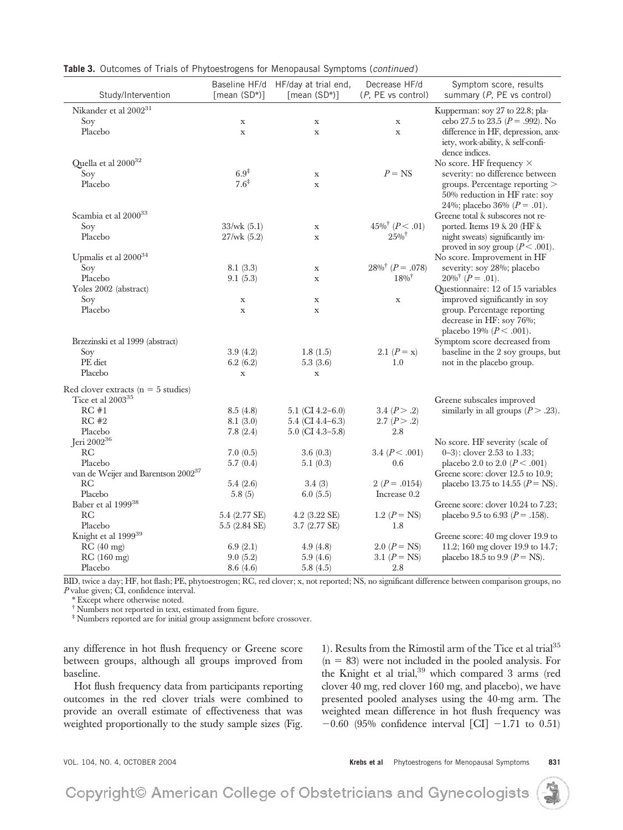|  |  |  |  |  |  | Table 3. Outcomes of Trials of Phytoestrogens for Menopausal Symptoms (continued) |  |  |
|--|--|--|--|--|--|-----------------------------------------------------------------------------------|--|--|
|--|--|--|--|--|--|-----------------------------------------------------------------------------------|--|--|

| Study/Intervention                             | Baseline HF/d<br>[mean (SD*)] | HF/day at trial end,<br>[mean (SD*)] | Decrease HF/d<br>(P, PE vs control)    | Symptom score, results<br>summary (P, PE vs control)          |
|------------------------------------------------|-------------------------------|--------------------------------------|----------------------------------------|---------------------------------------------------------------|
| Nikander et al 2002 <sup>31</sup>              |                               |                                      |                                        | Kupperman: soy 27 to 22.8; pla-                               |
| Soy                                            | $\mathbf X$                   | X                                    | $\mathbf X$                            | cebo 27.5 to 23.5 ( $P = .992$ ). No                          |
| Placebo                                        | $\mathbf X$                   | X                                    | $\mathbf X$                            | difference in HF, depression, anx-                            |
|                                                |                               |                                      |                                        | iety, work-ability, & self-confi-                             |
|                                                |                               |                                      |                                        | dence indices.                                                |
| Quella et al 2000 <sup>32</sup>                |                               |                                      |                                        | No score. HF frequency $\times$                               |
| Soy                                            | $6.9*$                        | X                                    | $P = NS$                               | severity: no difference between                               |
| Placebo                                        | $7.6*$                        | $\mathbf x$                          |                                        | groups. Percentage reporting $>$                              |
|                                                |                               |                                      |                                        | 50% reduction in HF rate: soy                                 |
|                                                |                               |                                      |                                        | 24%; placebo 36% ( $P = .01$ ).                               |
| Scambia et al 2000 <sup>33</sup>               |                               |                                      |                                        | Greene total & subscores not re-                              |
| Soy                                            | 33/wk(5.1)                    | X                                    | $45\%$ <sup>†</sup> ( <i>P</i> < .01)  | ported. Items $19 \& 20$ (HF $\&$                             |
| Placebo                                        | $27$ /wk $(5.2)$              | $\mathbf X$                          | $25\%$ <sup>T</sup>                    | night sweats) significantly im-                               |
|                                                |                               |                                      |                                        | proved in soy group $(P < .001)$ .                            |
| Upmalis et al 2000 <sup>34</sup>               |                               |                                      | $28\%$ <sup>†</sup> ( <i>P</i> = .078) | No score. Improvement in HF                                   |
| Soy<br>Placebo                                 | 8.1(3.3)                      | X                                    | $18\%$ <sup>†</sup>                    | severity: soy 28%; placebo<br>$20\%$ <sup>†</sup> $(P=.01)$ . |
| Yoles 2002 (abstract)                          | 9.1(5.3)                      | X                                    |                                        | Questionnaire: 12 of 15 variables                             |
| Soy                                            | X                             |                                      | X                                      | improved significantly in soy                                 |
| Placebo                                        | $\mathbf X$                   | X<br>X                               |                                        | group. Percentage reporting                                   |
|                                                |                               |                                      |                                        | decrease in HF: soy 76%;                                      |
|                                                |                               |                                      |                                        | placebo 19% ( $P < .001$ ).                                   |
| Brzezinski et al 1999 (abstract)               |                               |                                      |                                        | Symptom score decreased from                                  |
| Soy                                            | 3.9(4.2)                      | 1.8(1.5)                             | 2.1 $(P = x)$                          | baseline in the 2 soy groups, but                             |
| PE diet                                        | 6.2(6.2)                      | 5.3(3.6)                             | 1.0                                    | not in the placebo group.                                     |
| Placebo                                        | $\mathbf X$                   | $\mathbf X$                          |                                        |                                                               |
| Red clover extracts ( $n = 5$ studies)         |                               |                                      |                                        |                                                               |
| Tice et al 2003 <sup>35</sup>                  |                               |                                      |                                        | Greene subscales improved                                     |
| RC#1                                           | 8.5(4.8)                      | 5.1 (CI 4.2–6.0)                     | 3.4 $(P > .2)$                         | similarly in all groups $(P > .23)$ .                         |
| RC#2                                           | 8.1(3.0)                      | 5.4 (CI $4.4-6.3$ )                  | 2.7 $(P > .2)$                         |                                                               |
| Placebo                                        | 7.8(2.4)                      | $5.0$ (CI 4.3-5.8)                   | 2.8                                    |                                                               |
| Jeri 2002 <sup>36</sup>                        |                               |                                      |                                        | No score. HF severity (scale of                               |
| RC                                             | 7.0(0.5)                      | 3.6(0.3)                             | 3.4 $(P < .001)$                       | $(0-3)$ : clover 2.53 to 1.33;                                |
| Placebo                                        | 5.7(0.4)                      | 5.1(0.3)                             | 0.6                                    | placebo 2.0 to 2.0 ( $P < .001$ )                             |
| van de Weijer and Barentson 2002 <sup>37</sup> |                               |                                      |                                        | Greene score: clover 12.5 to 10.9;                            |
| RC                                             | 5.4(2.6)                      | 3.4(3)                               | $2 (P = .0154)$                        | placebo 13.75 to 14.55 $(P = NS)$ .                           |
| Placebo                                        | 5.8(5)                        | 6.0(5.5)                             | Increase 0.2                           |                                                               |
| Baber et al 1999 <sup>38</sup>                 |                               |                                      |                                        | Greene score: clover 10.24 to 7.23;                           |
| RC                                             | 5.4 $(2.77 \text{ SE})$       | 4.2 $(3.22 \text{ SE})$              | 1.2 $(P = NS)$                         | placebo 9.5 to 6.93 ( $P = .158$ ).                           |
| Placebo                                        | $5.5(2.84 \text{ SE})$        | 3.7 (2.77 SE)                        | 1.8                                    |                                                               |
| Knight et al 1999 <sup>39</sup>                |                               |                                      |                                        | Greene score: 40 mg clover 19.9 to                            |
| RC(40 mg)                                      | 6.9(2.1)                      | 4.9(4.8)                             | 2.0 $(P = NS)$                         | 11.2; 160 mg clover 19.9 to 14.7;                             |
| RC(160 mg)                                     | 9.0(5.2)                      | 5.9(4.6)                             | 3.1 $(P = NS)$                         | placebo 18.5 to 9.9 ( $P = NS$ ).                             |
| Placebo                                        | 8.6(4.6)                      | 5.8(4.5)                             | 2.8                                    |                                                               |

BID, twice a day; HF, hot flash; PE, phytoestrogen; RC, red clover; x, not reported; NS, no significant difference between comparison groups, no *P* value given; CI, confidence interval.

\* Except where otherwise noted.

† Numbers not reported in text, estimated from figure.

‡ Numbers reported are for initial group assignment before crossover.

any difference in hot flush frequency or Greene score between groups, although all groups improved from baseline.

Hot flush frequency data from participants reporting outcomes in the red clover trials were combined to provide an overall estimate of effectiveness that was weighted proportionally to the study sample sizes (Fig.

1). Results from the Rimostil arm of the Tice et al trial35  $(n = 83)$  were not included in the pooled analysis. For the Knight et al trial,<sup>39</sup> which compared 3 arms (red clover 40 mg, red clover 160 mg, and placebo), we have presented pooled analyses using the 40-mg arm. The weighted mean difference in hot flush frequency was  $-0.60$  (95% confidence interval [CI]  $-1.71$  to 0.51)

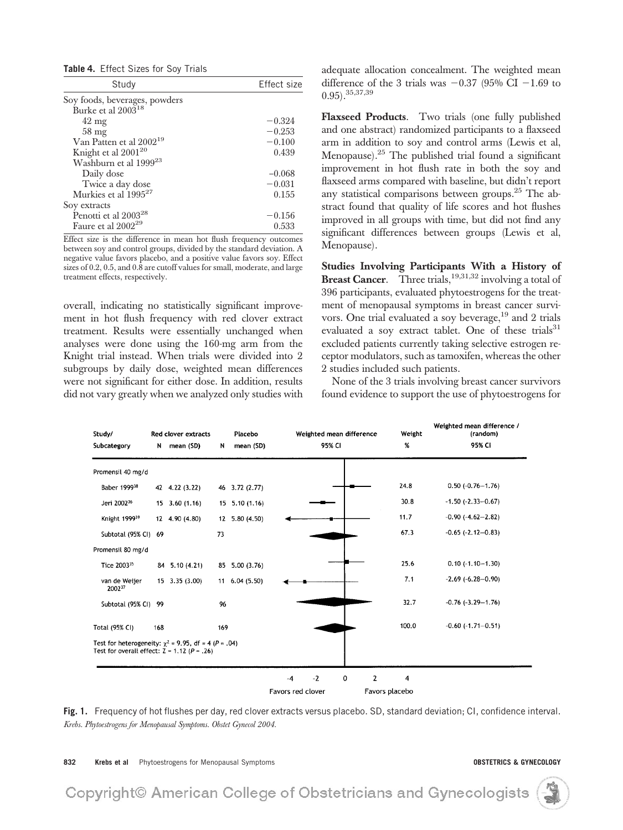| Table 4. Effect Sizes for Soy Trials |
|--------------------------------------|
|--------------------------------------|

| Study                               | Effect size |  |  |
|-------------------------------------|-------------|--|--|
| Soy foods, beverages, powders       |             |  |  |
| Burke et al 2003 <sup>18</sup>      |             |  |  |
| $42 \text{ mg}$                     | $-0.324$    |  |  |
| $58 \text{ mg}$                     | $-0.253$    |  |  |
| Van Patten et al 2002 <sup>19</sup> | $-0.100$    |  |  |
| Knight et al 2001 <sup>20</sup>     | 0.439       |  |  |
| Washburn et al 1999 <sup>23</sup>   |             |  |  |
| Daily dose                          | $-0.068$    |  |  |
| Twice a day dose                    | $-0.031$    |  |  |
| Murkies et al $1995^{27}$           | 0.155       |  |  |
| Soy extracts                        |             |  |  |
| Penotti et al 2003 <sup>28</sup>    | $-0.156$    |  |  |
| Faure et al 2002 <sup>29</sup>      | 0.533       |  |  |

Effect size is the difference in mean hot flush frequency outcomes between soy and control groups, divided by the standard deviation. A negative value favors placebo, and a positive value favors soy. Effect sizes of 0.2, 0.5, and 0.8 are cutoff values for small, moderate, and large treatment effects, respectively.

overall, indicating no statistically significant improvement in hot flush frequency with red clover extract treatment. Results were essentially unchanged when analyses were done using the 160-mg arm from the Knight trial instead. When trials were divided into 2 subgroups by daily dose, weighted mean differences were not significant for either dose. In addition, results did not vary greatly when we analyzed only studies with adequate allocation concealment. The weighted mean difference of the 3 trials was  $-0.37$  (95% CI  $-1.69$  to 0.95).35,37,39

**Flaxseed Products.** Two trials (one fully published and one abstract) randomized participants to a flaxseed arm in addition to soy and control arms (Lewis et al, Menopause). $25$  The published trial found a significant improvement in hot flush rate in both the soy and flaxseed arms compared with baseline, but didn't report any statistical comparisons between groups. $25$  The abstract found that quality of life scores and hot flushes improved in all groups with time, but did not find any significant differences between groups (Lewis et al, Menopause).

Studies Involving Participants With a History of **Breast Cancer.** Three trials,<sup>19,31,32</sup> involving a total of 396 participants, evaluated phytoestrogens for the treatment of menopausal symptoms in breast cancer survivors. One trial evaluated a soy beverage,  $19$  and 2 trials evaluated a soy extract tablet. One of these trials $31$ excluded patients currently taking selective estrogen receptor modulators, such as tamoxifen, whereas the other 2 studies included such patients.

None of the 3 trials involving breast cancer survivors found evidence to support the use of phytoestrogens for

| Study/                                                                                                           |                | <b>Red clover extracts</b> |                   | Placebo                  | Weighted mean difference |        |                |              | Weight<br>% | Weighted mean difference /<br>(random)<br>95% CI |
|------------------------------------------------------------------------------------------------------------------|----------------|----------------------------|-------------------|--------------------------|--------------------------|--------|----------------|--------------|-------------|--------------------------------------------------|
| Subcategory                                                                                                      | N<br>mean (SD) |                            | N                 | mean (SD)                |                          | 95% CI |                |              |             |                                                  |
| Promensil 40 mg/d                                                                                                |                |                            |                   |                          |                          |        |                |              |             |                                                  |
| Baber 199938                                                                                                     |                | 42 4.22 (3.22)             |                   | 46 3.72 (2.77)           |                          |        |                |              | 24.8        | $0.50(-0.76 - 1.76)$                             |
| Jeri 2002 <sup>36</sup>                                                                                          |                | $15$ 3.60 (1.16)           |                   | $15$ 5.10 (1.16)         |                          |        |                |              | 30.8        | $-1.50$ ( $-2.33 - 0.67$ )                       |
| Knight 1999 <sup>39</sup>                                                                                        |                | 12 4.90 (4.80)             |                   | 12 5.80 (4.50)           |                          |        |                |              | 11.7        | $-0.90$ ( $-4.62 - 2.82$ )                       |
| Subtotal (95% CI) 69                                                                                             |                |                            | 73                |                          |                          |        |                |              | 67.3        | $-0.65$ ( $-2.12 - 0.83$ )                       |
| Promensil 80 mg/d                                                                                                |                |                            |                   |                          |                          |        |                |              |             |                                                  |
| Tice 2003 <sup>35</sup>                                                                                          |                | 84 5.10 (4.21)             |                   | 85 5.00 (3.76)           |                          |        |                |              | 25.6        | $0.10$ (-1.10-1.30)                              |
| van de Weijer<br>200237                                                                                          |                | $15$ 3.35 (3.00)           |                   | $11 \quad 6.04 \ (5.50)$ |                          |        |                |              | 7.1         | $-2.69$ $(-6.28 - 0.90)$                         |
| Subtotal (95% CI) 99                                                                                             |                |                            | 96                |                          |                          |        |                |              | 32.7        | $-0.76$ $(-3.29 - 1.76)$                         |
| Total (95% CI)                                                                                                   | 168            |                            | 169               |                          |                          |        |                |              | 100.0       | $-0.60$ $(-1.71 - 0.51)$                         |
| Test for heterogeneity: $\gamma^2$ = 9.95, df = 4 (P = .04)<br>Test for overall effect: $Z = 1.12$ ( $P = .26$ ) |                |                            |                   |                          |                          |        |                |              |             |                                                  |
|                                                                                                                  |                |                            |                   |                          | $-4$                     | $-2$   | $\mathbf 0$    | $\mathbf{z}$ | 4           |                                                  |
|                                                                                                                  |                |                            | Favors red clover |                          |                          |        | Favors placebo |              |             |                                                  |

**Fig. 1.** Frequency of hot flushes per day, red clover extracts versus placebo. SD, standard deviation; CI, confidence interval. *Krebs. Phytoestrogens for Menopausal Symptoms. Obstet Gynecol 2004.*

**832 Krebs et al** Phytoestrogens for Menopausal Symptoms **OBSTETRICS & GYNECOLOGY**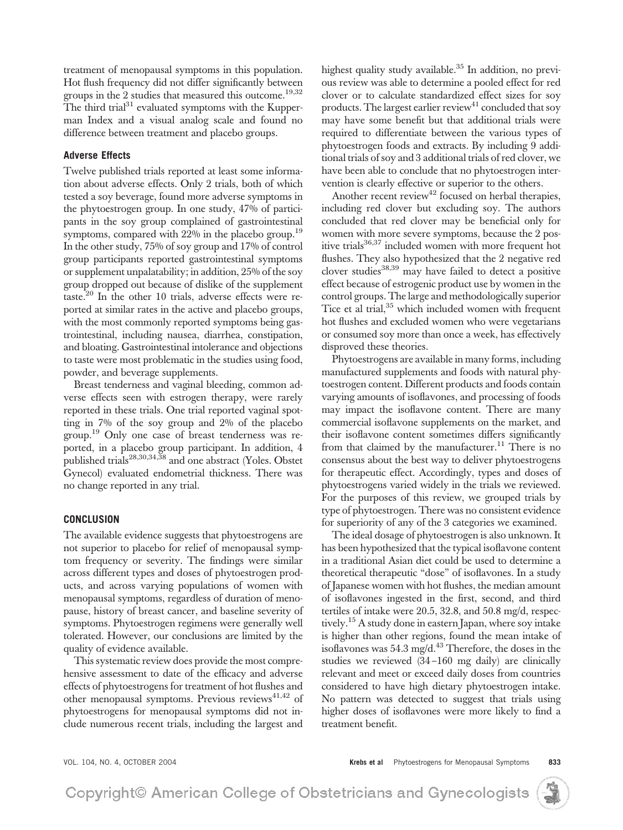treatment of menopausal symptoms in this population. Hot flush frequency did not differ significantly between groups in the 2 studies that measured this outcome.<sup>19,32</sup> The third trial $31$  evaluated symptoms with the Kupperman Index and a visual analog scale and found no difference between treatment and placebo groups.

### **Adverse Effects**

Twelve published trials reported at least some information about adverse effects. Only 2 trials, both of which tested a soy beverage, found more adverse symptoms in the phytoestrogen group. In one study, 47% of participants in the soy group complained of gastrointestinal symptoms, compared with 22% in the placebo group.<sup>19</sup> In the other study, 75% of soy group and 17% of control group participants reported gastrointestinal symptoms or supplement unpalatability; in addition, 25% of the soy group dropped out because of dislike of the supplement taste. $^{20}$  In the other 10 trials, adverse effects were reported at similar rates in the active and placebo groups, with the most commonly reported symptoms being gastrointestinal, including nausea, diarrhea, constipation, and bloating. Gastrointestinal intolerance and objections to taste were most problematic in the studies using food, powder, and beverage supplements.

Breast tenderness and vaginal bleeding, common adverse effects seen with estrogen therapy, were rarely reported in these trials. One trial reported vaginal spotting in 7% of the soy group and 2% of the placebo group.<sup>19</sup> Only one case of breast tenderness was reported, in a placebo group participant. In addition, 4 published trials<sup>28,30,34,38</sup> and one abstract (Yoles. Obstet Gynecol) evaluated endometrial thickness. There was no change reported in any trial.

# **CONCLUSION**

The available evidence suggests that phytoestrogens are not superior to placebo for relief of menopausal symptom frequency or severity. The findings were similar across different types and doses of phytoestrogen products, and across varying populations of women with menopausal symptoms, regardless of duration of menopause, history of breast cancer, and baseline severity of symptoms. Phytoestrogen regimens were generally well tolerated. However, our conclusions are limited by the quality of evidence available.

This systematic review does provide the most comprehensive assessment to date of the efficacy and adverse effects of phytoestrogens for treatment of hot flushes and other menopausal symptoms. Previous reviews<sup>41,42</sup> of phytoestrogens for menopausal symptoms did not include numerous recent trials, including the largest and

highest quality study available.<sup>35</sup> In addition, no previous review was able to determine a pooled effect for red clover or to calculate standardized effect sizes for soy products. The largest earlier review $^{41}$  concluded that soy may have some benefit but that additional trials were required to differentiate between the various types of phytoestrogen foods and extracts. By including 9 additional trials of soy and 3 additional trials of red clover, we have been able to conclude that no phytoestrogen intervention is clearly effective or superior to the others.

Another recent  $revi$ <sup>42</sup> focused on herbal therapies, including red clover but excluding soy. The authors concluded that red clover may be beneficial only for women with more severe symptoms, because the 2 positive trials $36,37$  included women with more frequent hot flushes. They also hypothesized that the 2 negative red clover studies $^{38,39}$  may have failed to detect a positive effect because of estrogenic product use by women in the control groups. The large and methodologically superior Tice et al trial,<sup>35</sup> which included women with frequent hot flushes and excluded women who were vegetarians or consumed soy more than once a week, has effectively disproved these theories.

Phytoestrogens are available in many forms, including manufactured supplements and foods with natural phytoestrogen content. Different products and foods contain varying amounts of isoflavones, and processing of foods may impact the isoflavone content. There are many commercial isoflavone supplements on the market, and their isoflavone content sometimes differs significantly from that claimed by the manufacturer.<sup>11</sup> There is no consensus about the best way to deliver phytoestrogens for therapeutic effect. Accordingly, types and doses of phytoestrogens varied widely in the trials we reviewed. For the purposes of this review, we grouped trials by type of phytoestrogen. There was no consistent evidence for superiority of any of the 3 categories we examined.

The ideal dosage of phytoestrogen is also unknown. It has been hypothesized that the typical isoflavone content in a traditional Asian diet could be used to determine a theoretical therapeutic "dose" of isoflavones. In a study of Japanese women with hot flushes, the median amount of isoflavones ingested in the first, second, and third tertiles of intake were 20.5, 32.8, and 50.8 mg/d, respectively.<sup>15</sup> A study done in eastern Japan, where soy intake is higher than other regions, found the mean intake of isoflavones was  $54.3$  mg/d.<sup>43</sup> Therefore, the doses in the studies we reviewed (34–160 mg daily) are clinically relevant and meet or exceed daily doses from countries considered to have high dietary phytoestrogen intake. No pattern was detected to suggest that trials using higher doses of isoflavones were more likely to find a treatment benefit.

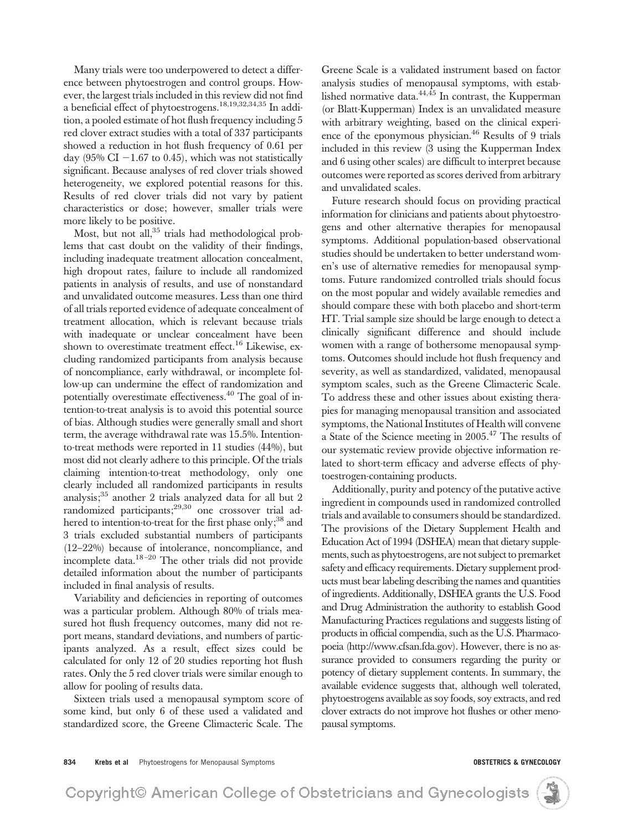Many trials were too underpowered to detect a difference between phytoestrogen and control groups. However, the largest trials included in this review did not find a beneficial effect of phytoestrogens.18,19,32,34,35 In addition, a pooled estimate of hot flush frequency including 5 red clover extract studies with a total of 337 participants showed a reduction in hot flush frequency of 0.61 per day (95% CI  $-1.67$  to 0.45), which was not statistically significant. Because analyses of red clover trials showed heterogeneity, we explored potential reasons for this. Results of red clover trials did not vary by patient characteristics or dose; however, smaller trials were more likely to be positive.

Most, but not all,<sup>35</sup> trials had methodological problems that cast doubt on the validity of their findings, including inadequate treatment allocation concealment, high dropout rates, failure to include all randomized patients in analysis of results, and use of nonstandard and unvalidated outcome measures. Less than one third of all trials reported evidence of adequate concealment of treatment allocation, which is relevant because trials with inadequate or unclear concealment have been shown to overestimate treatment effect.<sup>16</sup> Likewise, excluding randomized participants from analysis because of noncompliance, early withdrawal, or incomplete follow-up can undermine the effect of randomization and potentially overestimate effectiveness.40 The goal of intention-to-treat analysis is to avoid this potential source of bias. Although studies were generally small and short term, the average withdrawal rate was 15.5%. Intentionto-treat methods were reported in 11 studies (44%), but most did not clearly adhere to this principle. Of the trials claiming intention-to-treat methodology, only one clearly included all randomized participants in results analysis;<sup>35</sup> another 2 trials analyzed data for all but 2 randomized participants;<sup>29,30</sup> one crossover trial adhered to intention-to-treat for the first phase only; $38$  and 3 trials excluded substantial numbers of participants (12–22%) because of intolerance, noncompliance, and incomplete data.18–20 The other trials did not provide detailed information about the number of participants included in final analysis of results.

Variability and deficiencies in reporting of outcomes was a particular problem. Although 80% of trials measured hot flush frequency outcomes, many did not report means, standard deviations, and numbers of participants analyzed. As a result, effect sizes could be calculated for only 12 of 20 studies reporting hot flush rates. Only the 5 red clover trials were similar enough to allow for pooling of results data.

Sixteen trials used a menopausal symptom score of some kind, but only 6 of these used a validated and standardized score, the Greene Climacteric Scale. The

Greene Scale is a validated instrument based on factor analysis studies of menopausal symptoms, with established normative data. $44,45$  In contrast, the Kupperman (or Blatt-Kupperman) Index is an unvalidated measure with arbitrary weighting, based on the clinical experience of the eponymous physician.<sup>46</sup> Results of 9 trials included in this review (3 using the Kupperman Index and 6 using other scales) are difficult to interpret because outcomes were reported as scores derived from arbitrary and unvalidated scales.

Future research should focus on providing practical information for clinicians and patients about phytoestrogens and other alternative therapies for menopausal symptoms. Additional population-based observational studies should be undertaken to better understand women's use of alternative remedies for menopausal symptoms. Future randomized controlled trials should focus on the most popular and widely available remedies and should compare these with both placebo and short-term HT. Trial sample size should be large enough to detect a clinically significant difference and should include women with a range of bothersome menopausal symptoms. Outcomes should include hot flush frequency and severity, as well as standardized, validated, menopausal symptom scales, such as the Greene Climacteric Scale. To address these and other issues about existing therapies for managing menopausal transition and associated symptoms, the National Institutes of Health will convene a State of the Science meeting in 2005.<sup>47</sup> The results of our systematic review provide objective information related to short-term efficacy and adverse effects of phytoestrogen-containing products.

Additionally, purity and potency of the putative active ingredient in compounds used in randomized controlled trials and available to consumers should be standardized. The provisions of the Dietary Supplement Health and Education Act of 1994 (DSHEA) mean that dietary supplements, such as phytoestrogens, are not subject to premarket safety and efficacy requirements. Dietary supplement products must bear labeling describing the names and quantities of ingredients. Additionally, DSHEA grants the U.S. Food and Drug Administration the authority to establish Good Manufacturing Practices regulations and suggests listing of products in official compendia, such as the U.S. Pharmacopoeia (http://www.cfsan.fda.gov). However, there is no assurance provided to consumers regarding the purity or potency of dietary supplement contents. In summary, the available evidence suggests that, although well tolerated, phytoestrogens available as soy foods, soy extracts, and red clover extracts do not improve hot flushes or other menopausal symptoms.

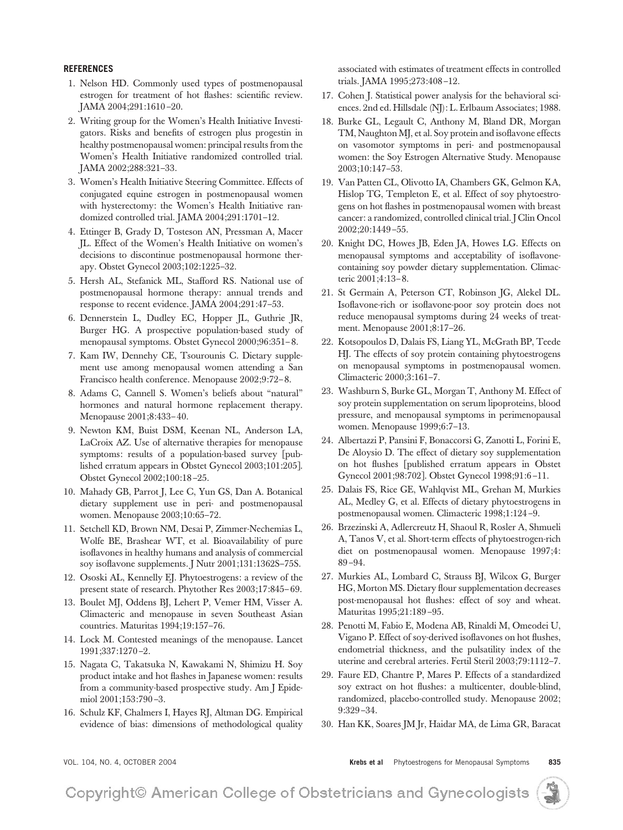### **REFERENCES**

- 1. Nelson HD. Commonly used types of postmenopausal estrogen for treatment of hot flashes: scientific review. JAMA 2004;291:1610–20.
- 2. Writing group for the Women's Health Initiative Investigators. Risks and benefits of estrogen plus progestin in healthy postmenopausal women: principal results from the Women's Health Initiative randomized controlled trial. JAMA 2002;288:321–33.
- 3. Women's Health Initiative Steering Committee. Effects of conjugated equine estrogen in postmenopausal women with hysterectomy: the Women's Health Initiative randomized controlled trial. JAMA 2004;291:1701–12.
- 4. Ettinger B, Grady D, Tosteson AN, Pressman A, Macer JL. Effect of the Women's Health Initiative on women's decisions to discontinue postmenopausal hormone therapy. Obstet Gynecol 2003;102:1225–32.
- 5. Hersh AL, Stefanick ML, Stafford RS. National use of postmenopausal hormone therapy: annual trends and response to recent evidence. JAMA 2004;291:47–53.
- 6. Dennerstein L, Dudley EC, Hopper JL, Guthrie JR, Burger HG. A prospective population-based study of menopausal symptoms. Obstet Gynecol 2000;96:351–8.
- 7. Kam IW, Dennehy CE, Tsourounis C. Dietary supplement use among menopausal women attending a San Francisco health conference. Menopause 2002;9:72–8.
- 8. Adams C, Cannell S. Women's beliefs about "natural" hormones and natural hormone replacement therapy. Menopause 2001;8:433–40.
- 9. Newton KM, Buist DSM, Keenan NL, Anderson LA, LaCroix AZ. Use of alternative therapies for menopause symptoms: results of a population-based survey [published erratum appears in Obstet Gynecol 2003;101:205]. Obstet Gynecol 2002;100:18–25.
- 10. Mahady GB, Parrot J, Lee C, Yun GS, Dan A. Botanical dietary supplement use in peri- and postmenopausal women. Menopause 2003;10:65–72.
- 11. Setchell KD, Brown NM, Desai P, Zimmer-Nechemias L, Wolfe BE, Brashear WT, et al. Bioavailability of pure isoflavones in healthy humans and analysis of commercial soy isoflavone supplements. J Nutr 2001;131:1362S–75S.
- 12. Ososki AL, Kennelly EJ. Phytoestrogens: a review of the present state of research. Phytother Res 2003;17:845–69.
- 13. Boulet MJ, Oddens BJ, Lehert P, Vemer HM, Visser A. Climacteric and menopause in seven Southeast Asian countries. Maturitas 1994;19:157–76.
- 14. Lock M. Contested meanings of the menopause. Lancet 1991;337:1270–2.
- 15. Nagata C, Takatsuka N, Kawakami N, Shimizu H. Soy product intake and hot flashes in Japanese women: results from a community-based prospective study. Am J Epidemiol 2001;153:790–3.
- 16. Schulz KF, Chalmers I, Hayes RJ, Altman DG. Empirical evidence of bias: dimensions of methodological quality

associated with estimates of treatment effects in controlled trials. JAMA 1995;273:408–12.

- 17. Cohen J. Statistical power analysis for the behavioral sciences. 2nd ed. Hillsdale (NJ): L. Erlbaum Associates; 1988.
- 18. Burke GL, Legault C, Anthony M, Bland DR, Morgan TM, Naughton MJ, et al. Soy protein and isoflavone effects on vasomotor symptoms in peri- and postmenopausal women: the Soy Estrogen Alternative Study. Menopause 2003;10:147–53.
- 19. Van Patten CL, Olivotto IA, Chambers GK, Gelmon KA, Hislop TG, Templeton E, et al. Effect of soy phytoestrogens on hot flashes in postmenopausal women with breast cancer: a randomized, controlled clinical trial. J Clin Oncol 2002;20:1449–55.
- 20. Knight DC, Howes JB, Eden JA, Howes LG. Effects on menopausal symptoms and acceptability of isoflavonecontaining soy powder dietary supplementation. Climacteric 2001;4:13–8.
- 21. St Germain A, Peterson CT, Robinson JG, Alekel DL. Isoflavone-rich or isoflavone-poor soy protein does not reduce menopausal symptoms during 24 weeks of treatment. Menopause 2001;8:17–26.
- 22. Kotsopoulos D, Dalais FS, Liang YL, McGrath BP, Teede HJ. The effects of soy protein containing phytoestrogens on menopausal symptoms in postmenopausal women. Climacteric 2000;3:161–7.
- 23. Washburn S, Burke GL, Morgan T, Anthony M. Effect of soy protein supplementation on serum lipoproteins, blood pressure, and menopausal symptoms in perimenopausal women. Menopause 1999;6:7–13.
- 24. Albertazzi P, Pansini F, Bonaccorsi G, Zanotti L, Forini E, De Aloysio D. The effect of dietary soy supplementation on hot flushes [published erratum appears in Obstet Gynecol 2001;98:702]. Obstet Gynecol 1998;91:6-11.
- 25. Dalais FS, Rice GE, Wahlqvist ML, Grehan M, Murkies AL, Medley G, et al. Effects of dietary phytoestrogens in postmenopausal women. Climacteric 1998;1:124–9.
- 26. Brzezinski A, Adlercreutz H, Shaoul R, Rosler A, Shmueli A, Tanos V, et al. Short-term effects of phytoestrogen-rich diet on postmenopausal women. Menopause 1997;4: 89–94.
- 27. Murkies AL, Lombard C, Strauss BJ, Wilcox G, Burger HG, Morton MS. Dietary flour supplementation decreases post-menopausal hot flushes: effect of soy and wheat. Maturitas 1995;21:189–95.
- 28. Penotti M, Fabio E, Modena AB, Rinaldi M, Omeodei U, Vigano P. Effect of soy-derived isoflavones on hot flushes, endometrial thickness, and the pulsatility index of the uterine and cerebral arteries. Fertil Steril 2003;79:1112–7.
- 29. Faure ED, Chantre P, Mares P. Effects of a standardized soy extract on hot flushes: a multicenter, double-blind, randomized, placebo-controlled study. Menopause 2002; 9:329–34.
- 30. Han KK, Soares JM Jr, Haidar MA, de Lima GR, Baracat